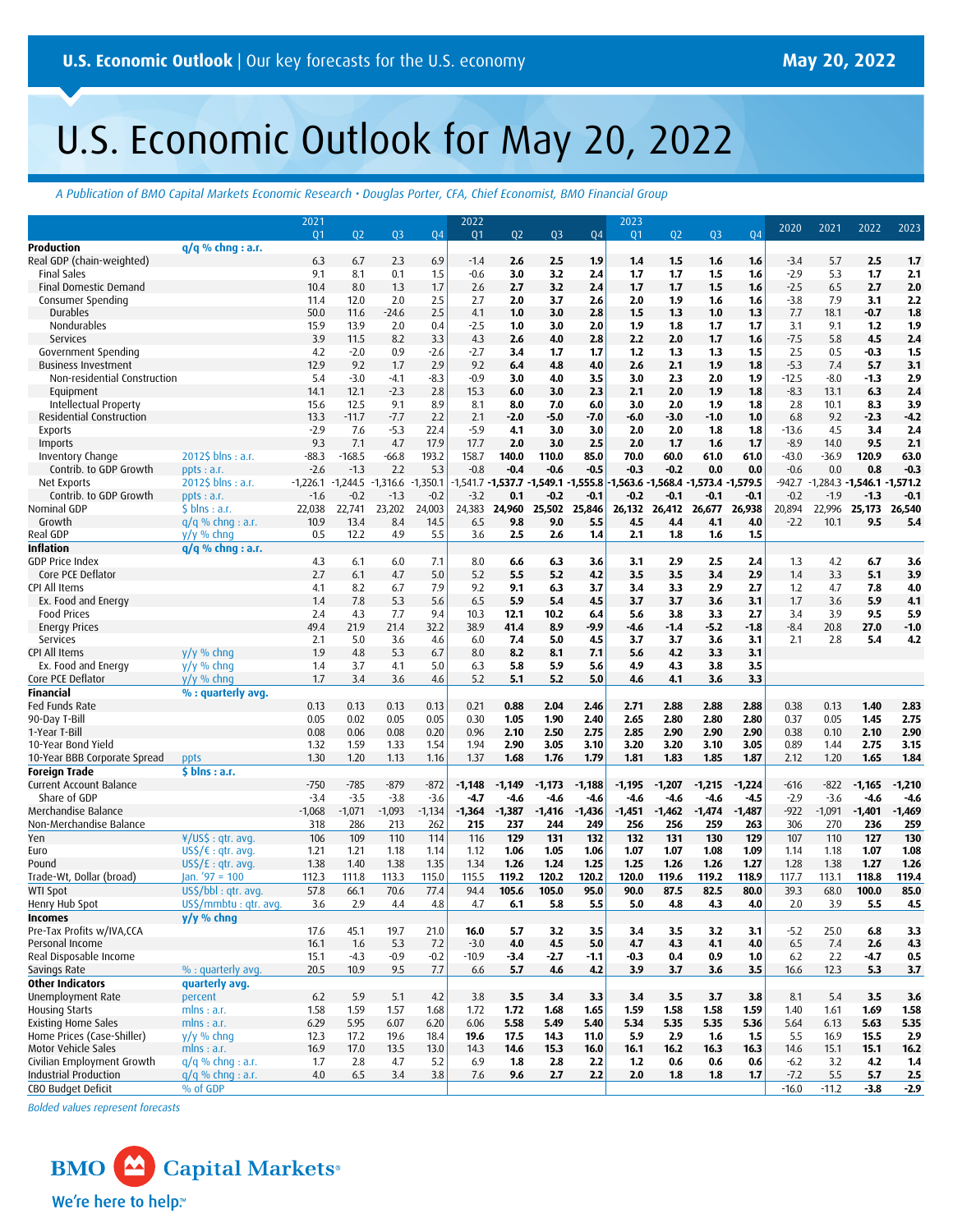# U.S. Economic Outlook for May 20, 2022

*A Publication of BMO Capital Markets Economic Research • Douglas Porter, CFA, Chief Economist, BMO Financial Group*

|                                                 |                                   | 2021         |              |              |              | 2022             |                              |                |              | 2023           |                             |              |              | 2020             | 2021                           | 2022         | 2023         |
|-------------------------------------------------|-----------------------------------|--------------|--------------|--------------|--------------|------------------|------------------------------|----------------|--------------|----------------|-----------------------------|--------------|--------------|------------------|--------------------------------|--------------|--------------|
|                                                 |                                   | 01           | 02           | 03           | 04           | 01               | 02                           | Q <sub>3</sub> | 04           | Q <sub>1</sub> | 02                          | 03           | 04           |                  |                                |              |              |
| Production                                      | $q/q$ % chnq : a.r.               |              |              |              |              |                  |                              |                |              |                |                             |              |              |                  |                                |              |              |
| Real GDP (chain-weighted)<br><b>Final Sales</b> |                                   | 6.3<br>9.1   | 6.7          | 2.3<br>0.1   | 6.9<br>1.5   | $-1.4$<br>$-0.6$ | 2.6                          | 2.5<br>3.2     | 1.9          | 1.4<br>1.7     | 1.5                         | 1.6          | 1.6<br>1.6   | $-3.4$<br>$-2.9$ | 5.7<br>5.3                     | 2.5<br>1.7   | 1,7          |
| Final Domestic Demand                           |                                   | 10.4         | 8.1<br>8.0   | 1.3          | 1.7          | 2.6              | 3.0<br>2.7                   | 3.2            | 2.4<br>2.4   | 1.7            | 1,7<br>1,7                  | 1.5<br>1.5   | 1.6          | $-2.5$           | 6.5                            | 2.7          | 2.1<br>2.0   |
| Consumer Spending                               |                                   | 11.4         | 12.0         | 2.0          | 2.5          | 2.7              | 2.0                          | 3.7            | 2.6          | 2.0            | 1.9                         | 1.6          | 1.6          | $-3.8$           | 7.9                            | 3.1          | 2.2          |
| Durables                                        |                                   | 50.0         | 11.6         | $-24.6$      | 2.5          | 4.1              | 1.0                          | 3.0            | 2.8          | 1.5            | 1.3                         | 1.0          | 1.3          | 7.7              | 18.1                           | $-0.7$       | 1.8          |
| Nondurables                                     |                                   | 15.9         | 13.9         | 2.0          | 0.4          | $-2.5$           | 1.0                          | 3.0            | 2.0          | 1.9            | 1.8                         | 1,7          | 1.7          | 3.1              | 9.1                            | 1,2          | 1.9          |
| Services                                        |                                   | 3.9          | 11.5         | 8.2          | 3.3          | 4.3              | 2.6                          | 4.0            | 2.8          | 2.2            | 2.0                         | 1,7          | 1.6          | $-7.5$           | 5.8                            | 4.5          | 2.4          |
| Government Spending                             |                                   | 4.2          | $-2.0$       | 0.9          | $-2.6$       | $-2.7$           | 3.4                          | 1.7            | 1.7          | 1.2            | 1.3                         | 1.3          | 1.5          | 2.5              | 0.5                            | -0.3         | 1.5          |
| <b>Business Investment</b>                      |                                   | 12.9         | 9.2          | 1.7          | 2.9          | 9.2              | 6.4                          | 4.8            | 4.0          | 2.6            | 2.1                         | 1.9          | 1.8          | $-5.3$           | 7.4                            | 5.7          | 3.1          |
| Non-residential Construction                    |                                   | 5.4          | $-3.0$       | $-4.1$       | $-8.3$       | $-0.9$           | 3.0                          | 4.0            | 3.5          | 3.0            | 2.3                         | 2.0          | 1.9          | $-12.5$          | $-8.0$                         | $-1.3$       | 2.9          |
| Equipment                                       |                                   | 14.1         | 12.1         | $-2.3$       | 2.8          | 15.3             | 6.0                          | 3.0            | 2.3          | 2.1            | 2.0                         | 1.9          | 1.8          | $-8.3$           | 13.1                           | 6.3          | 2.4          |
| Intellectual Property                           |                                   | 15.6         | 12.5         | 9.1          | 8.9          | 8.1              | 8.0                          | 7.0            | 6.0          | 3.0            | 2.0                         | 1.9          | 1.8          | 2.8              | 10.1                           | 8.3          | 3.9          |
| Residential Construction                        |                                   | 13.3         | $-11.7$      | $-7.7$       | 2.2          | 2.1              | $-2.0$                       | $-5.0$         | $-7.0$       | $-6.0$         | $-3.0$                      | $-1.0$       | 1.0          | 6.8              | 9.2                            | $-2.3$       | $-4.2$       |
| <b>Exports</b>                                  |                                   | $-2.9$       | 7.6          | $-5.3$       | 22.4         | $-5.9$           | 4.1                          | 3.0            | 3.0          | 2.0            | 2.0                         | 1.8          | 1.8          | $-13.6$          | 4.5                            | 3.4          | 2.4          |
| Imports                                         |                                   | 9.3          | 7.1          | 4.7          | 17.9         | 17.7             | 2.0                          | 3.0            | 2.5          | 2.0            | 1,7                         | 1.6          | 1.7          | $-8.9$           | 14.0                           | 9.5          | 2.1          |
| Inventory Change                                | 2012\$ blns : a.r.                | $-88.3$      | $-168.5$     | $-66.8$      | 193.2        | 158.7            | 140.0                        | 110.0          | 85.0         | 70.0           | 60.0                        | 61.0         | 61.0         | $-43.0$          | $-36.9$                        | 120.9        | 63.0         |
| Contrib. to GDP Growth                          | ppts: a.r.                        | $-2.6$       | $-1.3$       | 2.2          | 5.3          | $-0.8$           | $-0.4$                       | $-0.6$         | $-0.5$       | $-0.3$         | $-0.2$                      | 0.0          | 0.0          | $-0.6$           | 0.0                            | 0.8          | $-0.3$       |
| Net Exports                                     | $20125$ blns : a.r.               | $-1,226.1$   | $-1,244.5$   | $-1,316.6$   | $-1,350.1$   | 1,541.7          | $-1,537.7 -1,549.1 -1,555.8$ |                |              |                | 1,563.6 - 1,568.4 - 1,573.4 |              | 1,579.5      | -942.7           | $-1,284.3 - 1,546.1 - 1,571.2$ |              |              |
| Contrib. to GDP Growth                          | ppts: a.r.                        | $-1.6$       | $-0.2$       | $-1.3$       | $-0.2$       | $-3.2$           | 0.1                          | -0.2           | $-0.1$       | $-0.2$         | $-0.1$                      | $-0.1$       | $-0.1$       | $-0.2$           | $-1.9$                         | $-1.3$       | $-0.1$       |
| Nominal GDP                                     | $$$ blns : a.r.                   | 22,038       | 22,741       | 23,202       | 24,003       | 24,383           |                              | 24,960 25,502  | 25,846       |                | 26,132 26,412               | 26,677       | 26,938       | 20,894           | 22,996                         | 25,173       | 26,540       |
| Growth                                          | $q/q$ % chng : a.r.               | 10.9         | 13.4         | 8.4          | 14.5         | 6.5              | 9.8                          | 9.0            | 5.5          | 4.5            | 4.4                         | 4.1          | 4.0          | $-2.2$           | 10.1                           | 9.5          | 5.4          |
| Real GDP                                        | $y/y \%$ chng                     | 0.5          | 12.2         | 4.9          | 5.5          | 3.6              | 2.5                          | 2.6            | 1,4          | 2.1            | 1.8                         | 1.6          | 1.5          |                  |                                |              |              |
| <b>Inflation</b>                                | $q/q$ % chng : a.r.               |              |              |              |              |                  |                              |                |              |                |                             |              |              |                  |                                |              |              |
| <b>GDP Price Index</b>                          |                                   | 4.3          | 6.1          | 6.0          | 7.1          | 8.0              | 6.6                          | 6.3            | 3.6          | 3.1            | 2.9                         | 2.5          | 2.4          | 1.3              | 4.2                            | 6.7          | 3.6          |
| Core PCE Deflator                               |                                   | 2.7          | 6.1          | 4.7          | 5.0          | 5.2              | 5.5                          | 5.2            | 4.2          | 3.5            | 3.5                         | 3.4          | 2.9          | 1.4              | 3.3                            | 5.1          | 3.9          |
| CPI All Items                                   |                                   | 4.1          | 8.2          | 6.7          | 7.9          | 9.2              | 9.1                          | 6.3            | 3.7          | 3.4            | 3.3                         | 2.9          | 2.7          | 1.2              | 4.7                            | 7.8          | 4.0          |
| Ex. Food and Energy                             |                                   | 1.4          | 7.8          | 5.3          | 5.6          | 6.5              | 5.9                          | 5.4            | 4.5          | 3.7            | 3.7                         | 3.6          | 3.1          | 1.7              | 3.6                            | 5.9          | 4.1          |
| <b>Food Prices</b>                              |                                   | 2.4          | 4.3          | 7.7          | 9.4          | 10.3             | 12.1                         | 10.2           | 6.4          | 5.6            | 3.8                         | 3.3          | 2.7          | 3.4              | 3.9                            | 9.5          | 5.9          |
| <b>Energy Prices</b>                            |                                   | 49.4         | 21.9         | 21.4         | 32.2         | 38.9             | 41.4                         | 8.9            | -9.9         | $-4.6$         | $-1.4$                      | $-5.2$       | $-1.8$       | $-8.4$           | 20.8                           | 27.0         | $-1.0$       |
| Services                                        |                                   | 2.1          | 5.0          | 3.6          | 4.6          | 6.0              | 7.4                          | 5.0            | 4.5          | 3.7            | 3.7                         | 3.6          | 3.1          | 2.1              | 2.8                            | 5.4          | 4.2          |
| CPI All Items                                   | $V/V$ % chng                      | 1.9          | 4.8          | 5.3          | 6.7          | 8.0              | 8.2                          | 8.1            | 7.1          | 5.6            | 4.2                         | 3.3          | 3.1          |                  |                                |              |              |
| Ex. Food and Energy                             | $y/y$ % chng                      | 1.4          | 3.7          | 4.1          | 5.0          | 6.3              | 5.8                          | 5.9            | 5.6          | 4.9            | 4.3                         | 3.8          | 3.5          |                  |                                |              |              |
| Core PCE Deflator                               | $V/V$ % chng                      | 1.7          | 3.4          | 3.6          | 4.6          | 5.2              | 5.1                          | 5.2            | 5.0          | 4.6            | 4.1                         | 3.6          | 3.3          |                  |                                |              |              |
| <b>Financial</b>                                | % : quarterly avg.                |              |              |              |              |                  |                              |                |              |                |                             |              |              |                  |                                |              |              |
| Fed Funds Rate                                  |                                   | 0.13         | 0.13         | 0.13         | 0.13         | 0.21             | 0.88                         | 2.04           | 2.46         | 2.71           | 2.88                        | 2.88         | 2.88         | 0.38             | 0.13                           | 1.40         | 2.83         |
| 90-Day T-Bill                                   |                                   | 0.05         | 0.02         | 0.05         | 0.05         | 0.30             | 1.05                         | 1.90           | 2.40         | 2.65           | 2.80                        | 2.80         | 2.80         | 0.37             | 0.05                           | 1.45         | 2.75         |
| 1-Year T-Bill<br>10-Year Bond Yield             |                                   | 0.08<br>1.32 | 0.06<br>1.59 | 0.08<br>1.33 | 0.20<br>1.54 | 0.96<br>1.94     | 2.10<br>2.90                 | 2.50<br>3.05   | 2.75<br>3.10 | 2.85<br>3.20   | 2.90<br>3.20                | 2.90<br>3.10 | 2.90<br>3.05 | 0.38<br>0.89     | 0.10<br>1.44                   | 2.10<br>2.75 | 2.90<br>3.15 |
| 10-Year BBB Corporate Spread                    | ppts                              | 1.30         | 1.20         | 1.13         | 1.16         | 1.37             | 1.68                         | 1.76           | 1.79         | 1.81           | 1.83                        | 1.85         | 1.87         | 2.12             | 1.20                           | 1.65         | 1.84         |
| <b>Foreign Trade</b>                            | \$ blns: a.r.                     |              |              |              |              |                  |                              |                |              |                |                             |              |              |                  |                                |              |              |
| Current Account Balance                         |                                   | $-750$       | $-785$       | $-879$       | $-872$       | $-1,148$         | $-1,149$                     | $-1,173$       | $-1,188$     | $-1,195$       | $-1,207$                    | $-1,215$     | $-1,224$     | $-616$           | $-822$                         | $-1,165$     | $-1,210$     |
| Share of GDP                                    |                                   | $-3.4$       | $-3.5$       | $-3.8$       | $-3.6$       | $-4.7$           | $-4.6$                       | $-4.6$         | $-4.6$       | $-4.6$         | $-4.6$                      | $-4.6$       | $-4.5$       | $-2.9$           | $-3.6$                         | $-4.6$       | $-4.6$       |
| Merchandise Balance                             |                                   | $-1,068$     | $-1,071$     | $-1,093$     | $-1,134$     | $-1,364$         | $-1,387$                     | $-1,416$       | $-1,436$     | $-1,451$       | $-1,462$                    | $-1,474$     | $-1,487$     | $-922$           | $-1,091$                       | $-1,401$     | $-1,469$     |
| Non-Merchandise Balance                         |                                   | 318          | 286          | 213          | 262          | 215              | 237                          | 244            | 249          | 256            | 256                         | 259          | 263          | 306              | 270                            | 236          | 259          |
| Yen                                             | ¥/US\$ : gtr. avg.                | 106          | 109          | 110          | 114          | 116              | 129                          | 131            | 132          | 132            | 131                         | 130          | 129          | 107              | 110                            | 127          | 130          |
| Euro                                            | $US\zeta/\varepsilon$ : qtr. avg. | 1.21         | 1.21         | 1.18         | 1.14         | 1.12             | 1.06                         | 1.05           | 1.06         | 1.07           | 1.07                        | 1.08         | 1.09         | 1.14             | 1.18                           | 1.07         | 1.08         |
| Pound                                           | $US\zeta/E$ : qtr. avg.           | 1.38         | 1.40         | 1.38         | 1.35         | 1.34             | 1.26                         | 1.24           | 1.25         | 1.25           | 1.26                        | 1.26         | 1.27         | 1.28             | 1.38                           | 1.27         | 1.26         |
| Trade-Wt, Dollar (broad)                        | Jan. $'97 = 100$                  | 112.3        | 111.8        | 113.3        | 115.0        | 115.5            | 119.2                        | 120.2          | 120.2        | 120.0          | 119.6                       | 119.2        | 118.9        | 117.7            | 113.1                          | 118.8        | 119.4        |
| <b>WTI Spot</b>                                 | US\$/bbl : qtr. avg.              | 57.8         | 66.1         | 70.6         | 77.4         | 94.4             | 105.6                        | 105.0          | 95.0         | 90.0           | 87.5                        | 82.5         | 80.0         | 39.3             | 68.0                           | 100.0        | 85.0         |
| Henry Hub Spot                                  | US\$/mmbtu: gtr. avg.             | 3.6          | 2.9          | 4.4          | 4.8          | 4.7              | 6.1                          | 5.8            | 5.5          | 5.0            | 4.8                         | 4.3          | 4.0          | 2.0              | 3.9                            | 5.5          | 4.5          |
| <b>Incomes</b>                                  | y/y % chng                        |              |              |              |              |                  |                              |                |              |                |                             |              |              |                  |                                |              |              |
| Pre-Tax Profits w/IVA,CCA                       |                                   | 17.6         | 45.1         | 19.7         | 21.0         | 16.0             | 5.7                          | 3.2            | 3.5          | 3.4            | 3.5                         | 3.2          | 3.1          | $-5.2$           | 25.0                           | 6.8          | 3.3          |
| Personal Income                                 |                                   | 16.1         | 1.6          | 5.3          | 7.2          | $-3.0$           | 4.0                          | 4.5            | 5.0          | 4.7            | 4.3                         | 4.1          | 4.0          | 6.5              | 7.4                            | 2.6          | 4.3          |
| Real Disposable Income                          |                                   | 15.1         | $-4.3$       | $-0.9$       | $-0.2$       | $-10.9$          | $-3.4$                       | $-2.7$         | -1.1         | $-0.3$         | 0.4                         | 0.9          | 1.0          | 6.2              | 2.2                            | $-4.7$       | 0.5          |
| Savings Rate                                    | % : quarterly avg.                | 20.5         | 10.9         | 9.5          | 7.7          | 6.6              | 5.7                          | 4.6            | 4.2          | 3.9            | 3.7                         | 3.6          | 3.5          | 16.6             | 12.3                           | 5.3          | 3.7          |
| <b>Other Indicators</b>                         | quarterly avg.                    |              |              |              |              |                  |                              |                |              |                |                             |              |              |                  |                                |              |              |
| Unemployment Rate                               | percent                           | 6.2          | 5.9          | 5.1          | 4.2          | 3.8              | 3.5                          | 3.4            | 3.3          | 3,4            | 3.5                         | 3.7          | 3.8          | 8.1              | 5.4                            | 3.5          | 3.6          |
| <b>Housing Starts</b>                           | mlns: a.r.                        | 1.58         | 1.59         | 1.57         | 1.68         | 1.72             | 1.72                         | 1.68           | 1.65         | 1.59           | 1.58                        | 1.58         | 1.59         | 1.40             | 1.61                           | 1.69         | 1.58         |
| <b>Existing Home Sales</b>                      | mlns: a.r.                        | 6.29         | 5.95         | 6.07         | 6.20         | 6.06             | 5.58                         | 5.49           | 5.40         | 5.34           | 5.35                        | 5.35         | 5.36         | 5.64             | 6.13                           | 5.63         | 5.35         |
| Home Prices (Case-Shiller)                      | $y/y$ % chng                      | 12.3         | 17.2         | 19.6         | 18.4         | 19.6             | 17.5                         | 14.3           | 11.0         | 5.9            | 2.9                         | 1.6          | 1.5          | 5.5              | 16.9                           | 15.5         | 2.9          |
| Motor Vehicle Sales                             | mlns: a.r.                        | 16.9         | 17.0         | 13.5         | 13.0         | 14.3             | 14.6                         | 15.3           | 16.0         | 16.1           | 16.2                        | 16.3         | 16.3         | 14.6             | 15.1                           | 15.1         | 16.2         |
| Civilian Employment Growth                      | $q/q$ % chng : a.r.               | 1.7          | 2.8          | 4.7          | 5.2          | 6.9              | 1.8                          | 2.8            | 2.2          | 1,2            | 0.6                         | 0.6          | 0.6          | $-6.2$           | 3.2                            | 4.2          | 1.4          |
| Industrial Production                           | $q/q$ % chng : a.r.               | 4.0          | 6.5          | 3.4          | 3.8          | 7.6              | 9.6                          | 2.7            | 2.2          | 2.0            | 1.8                         | 1.8          | 1.7          | $-7.2$           | 5.5                            | 5.7          | 2.5          |
| CBO Budget Deficit                              | % of GDP                          |              |              |              |              |                  |                              |                |              |                |                             |              |              | $-16.0$          | $-11.2$                        | $-3.8$       | $-2.9$       |

*Bolded values represent forecasts*